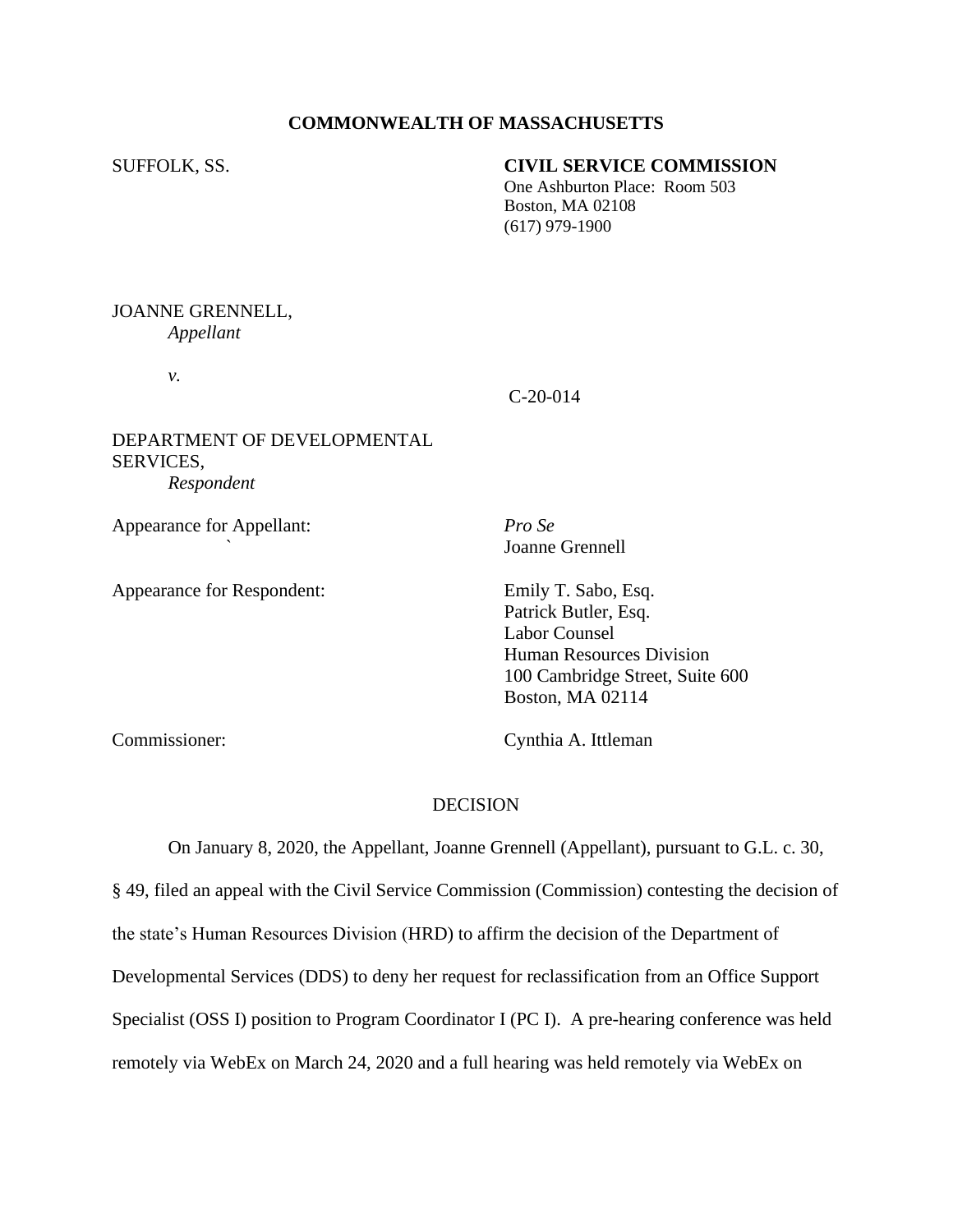## **COMMONWEALTH OF MASSACHUSETTS**

## SUFFOLK, SS. **CIVIL SERVICE COMMISSION**

 One Ashburton Place: Room 503 Boston, MA 02108 (617) 979-1900

### JOANNE GRENNELL, *Appellant*

*v.*

## C-20-014

# DEPARTMENT OF DEVELOPMENTAL SERVICES, *Respondent*

Appearance for Appellant: *Pro Se*

Appearance for Respondent: Emily T. Sabo, Esq.

*`* Joanne Grennell

Patrick Butler, Esq. Labor Counsel Human Resources Division 100 Cambridge Street, Suite 600 Boston, MA 02114

Commissioner: Cynthia A. Ittleman

#### DECISION

On January 8, 2020, the Appellant, Joanne Grennell (Appellant), pursuant to G.L. c. 30, § 49, filed an appeal with the Civil Service Commission (Commission) contesting the decision of the state's Human Resources Division (HRD) to affirm the decision of the Department of Developmental Services (DDS) to deny her request for reclassification from an Office Support Specialist (OSS I) position to Program Coordinator I (PC I). A pre-hearing conference was held remotely via WebEx on March 24, 2020 and a full hearing was held remotely via WebEx on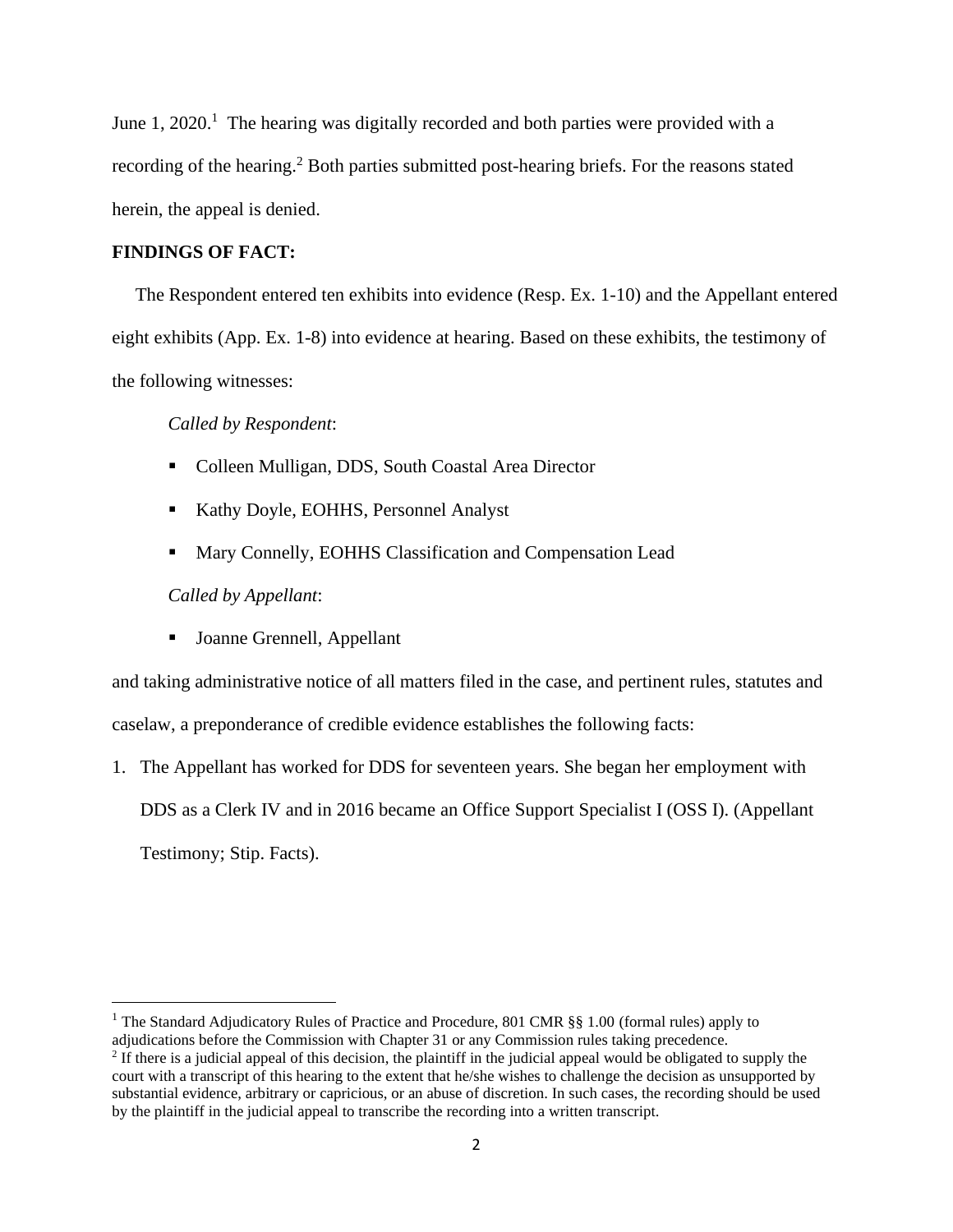June 1, 2020.<sup>1</sup> The hearing was digitally recorded and both parties were provided with a recording of the hearing.<sup>2</sup> Both parties submitted post-hearing briefs. For the reasons stated herein, the appeal is denied.

### **FINDINGS OF FACT:**

The Respondent entered ten exhibits into evidence (Resp. Ex. 1-10) and the Appellant entered eight exhibits (App. Ex. 1-8) into evidence at hearing. Based on these exhibits, the testimony of the following witnesses:

*Called by Respondent*:

- Colleen Mulligan, DDS, South Coastal Area Director
- Kathy Doyle, EOHHS, Personnel Analyst
- Mary Connelly, EOHHS Classification and Compensation Lead

*Called by Appellant*:

■ Joanne Grennell, Appellant

and taking administrative notice of all matters filed in the case, and pertinent rules, statutes and caselaw, a preponderance of credible evidence establishes the following facts:

1. The Appellant has worked for DDS for seventeen years. She began her employment with DDS as a Clerk IV and in 2016 became an Office Support Specialist I (OSS I). (Appellant Testimony; Stip. Facts).

<sup>&</sup>lt;sup>1</sup> The Standard Adjudicatory Rules of Practice and Procedure, 801 CMR §§ 1.00 (formal rules) apply to adjudications before the Commission with Chapter 31 or any Commission rules taking precedence.

 $<sup>2</sup>$  If there is a judicial appeal of this decision, the plaintiff in the judicial appeal would be obligated to supply the</sup> court with a transcript of this hearing to the extent that he/she wishes to challenge the decision as unsupported by substantial evidence, arbitrary or capricious, or an abuse of discretion. In such cases, the recording should be used by the plaintiff in the judicial appeal to transcribe the recording into a written transcript.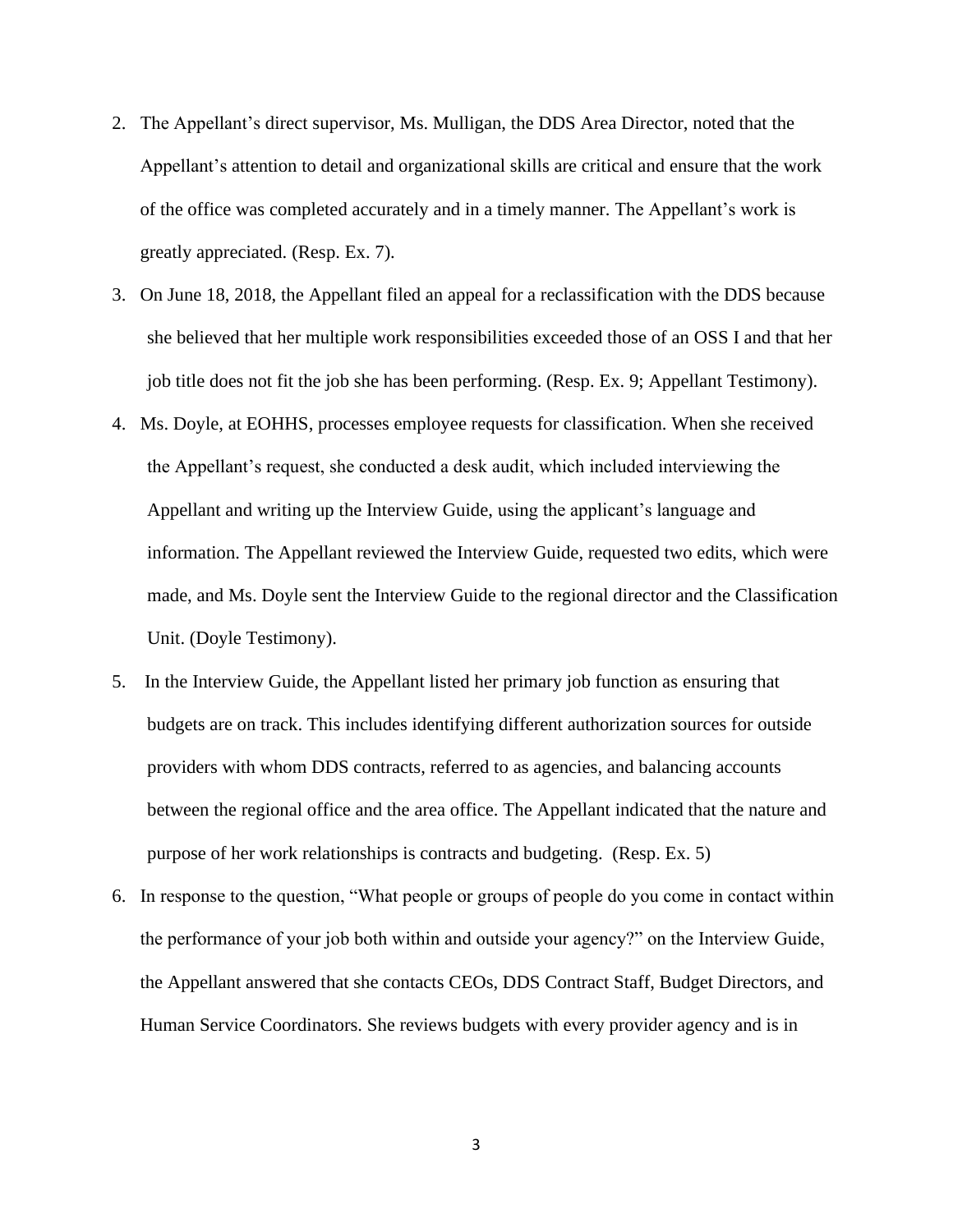- 2. The Appellant's direct supervisor, Ms. Mulligan, the DDS Area Director, noted that the Appellant's attention to detail and organizational skills are critical and ensure that the work of the office was completed accurately and in a timely manner. The Appellant's work is greatly appreciated. (Resp. Ex. 7).
- 3. On June 18, 2018, the Appellant filed an appeal for a reclassification with the DDS because she believed that her multiple work responsibilities exceeded those of an OSS I and that her job title does not fit the job she has been performing. (Resp. Ex. 9; Appellant Testimony).
- 4. Ms. Doyle, at EOHHS, processes employee requests for classification. When she received the Appellant's request, she conducted a desk audit, which included interviewing the Appellant and writing up the Interview Guide, using the applicant's language and information. The Appellant reviewed the Interview Guide, requested two edits, which were made, and Ms. Doyle sent the Interview Guide to the regional director and the Classification Unit. (Doyle Testimony).
- 5. In the Interview Guide, the Appellant listed her primary job function as ensuring that budgets are on track. This includes identifying different authorization sources for outside providers with whom DDS contracts, referred to as agencies, and balancing accounts between the regional office and the area office. The Appellant indicated that the nature and purpose of her work relationships is contracts and budgeting. (Resp. Ex. 5)
- 6. In response to the question, "What people or groups of people do you come in contact within the performance of your job both within and outside your agency?" on the Interview Guide, the Appellant answered that she contacts CEOs, DDS Contract Staff, Budget Directors, and Human Service Coordinators. She reviews budgets with every provider agency and is in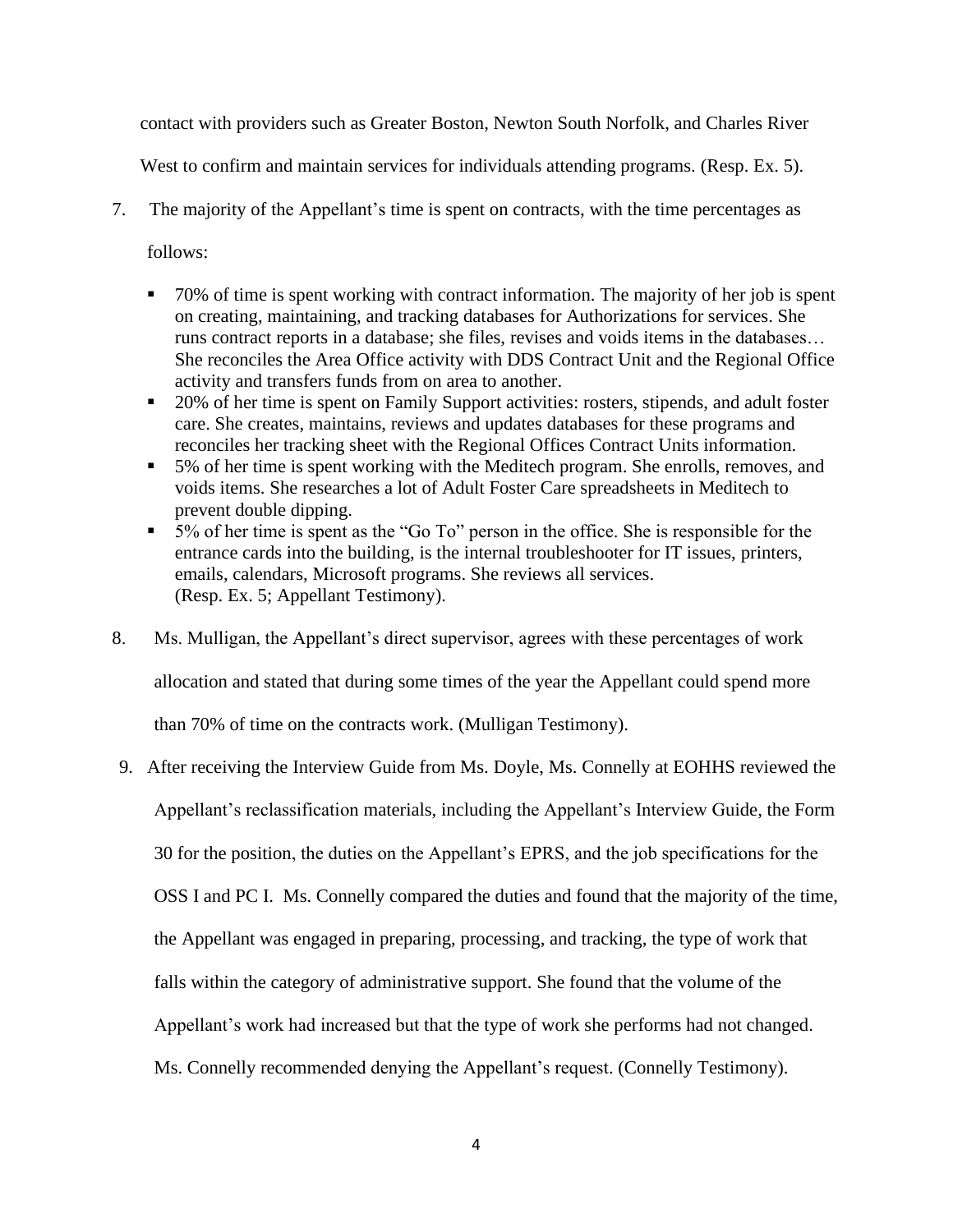contact with providers such as Greater Boston, Newton South Norfolk, and Charles River

West to confirm and maintain services for individuals attending programs. (Resp. Ex. 5).

- 7. The majority of the Appellant's time is spent on contracts, with the time percentages as follows:
	- 70% of time is spent working with contract information. The majority of her job is spent on creating, maintaining, and tracking databases for Authorizations for services. She runs contract reports in a database; she files, revises and voids items in the databases… She reconciles the Area Office activity with DDS Contract Unit and the Regional Office activity and transfers funds from on area to another.
	- 20% of her time is spent on Family Support activities: rosters, stipends, and adult foster care. She creates, maintains, reviews and updates databases for these programs and reconciles her tracking sheet with the Regional Offices Contract Units information.
	- 5% of her time is spent working with the Meditech program. She enrolls, removes, and voids items. She researches a lot of Adult Foster Care spreadsheets in Meditech to prevent double dipping.
	- 5% of her time is spent as the "Go To" person in the office. She is responsible for the entrance cards into the building, is the internal troubleshooter for IT issues, printers, emails, calendars, Microsoft programs. She reviews all services. (Resp. Ex. 5; Appellant Testimony).
- 8. Ms. Mulligan, the Appellant's direct supervisor, agrees with these percentages of work allocation and stated that during some times of the year the Appellant could spend more than 70% of time on the contracts work. (Mulligan Testimony).
- 9. After receiving the Interview Guide from Ms. Doyle, Ms. Connelly at EOHHS reviewed the Appellant's reclassification materials, including the Appellant's Interview Guide, the Form 30 for the position, the duties on the Appellant's EPRS, and the job specifications for the OSS I and PC I. Ms. Connelly compared the duties and found that the majority of the time, the Appellant was engaged in preparing, processing, and tracking, the type of work that falls within the category of administrative support. She found that the volume of the Appellant's work had increased but that the type of work she performs had not changed. Ms. Connelly recommended denying the Appellant's request. (Connelly Testimony).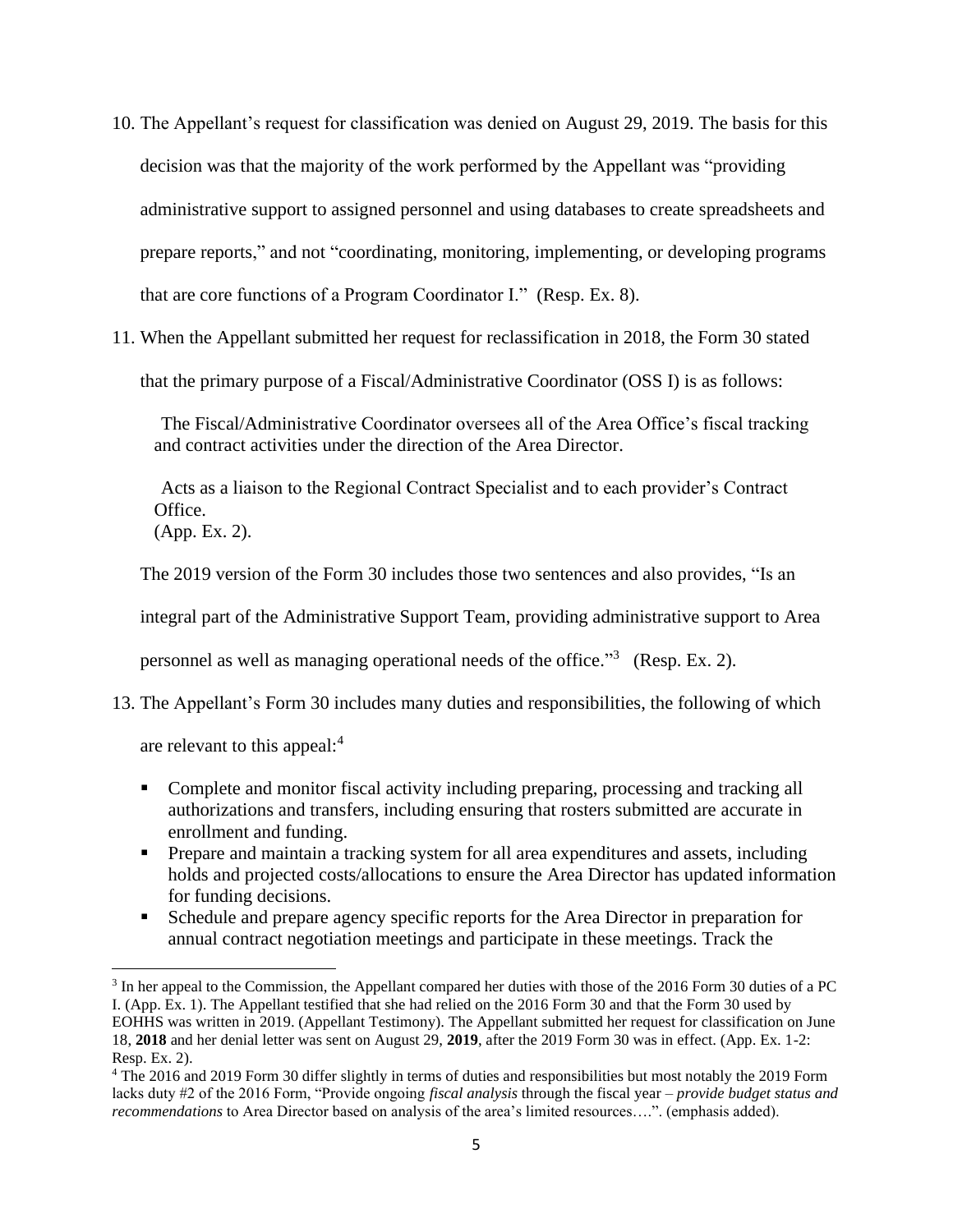- 10. The Appellant's request for classification was denied on August 29, 2019. The basis for this decision was that the majority of the work performed by the Appellant was "providing administrative support to assigned personnel and using databases to create spreadsheets and prepare reports," and not "coordinating, monitoring, implementing, or developing programs that are core functions of a Program Coordinator I." (Resp. Ex. 8).
- 11. When the Appellant submitted her request for reclassification in 2018, the Form 30 stated that the primary purpose of a Fiscal/Administrative Coordinator (OSS I) is as follows:

The Fiscal/Administrative Coordinator oversees all of the Area Office's fiscal tracking and contract activities under the direction of the Area Director.

Acts as a liaison to the Regional Contract Specialist and to each provider's Contract Office. (App. Ex. 2).

The 2019 version of the Form 30 includes those two sentences and also provides, "Is an

integral part of the Administrative Support Team, providing administrative support to Area

personnel as well as managing operational needs of the office."<sup>3</sup> (Resp. Ex. 2).

13. The Appellant's Form 30 includes many duties and responsibilities, the following of which

are relevant to this appeal:<sup>4</sup>

- Complete and monitor fiscal activity including preparing, processing and tracking all authorizations and transfers, including ensuring that rosters submitted are accurate in enrollment and funding.
- **•** Prepare and maintain a tracking system for all area expenditures and assets, including holds and projected costs/allocations to ensure the Area Director has updated information for funding decisions.
- Schedule and prepare agency specific reports for the Area Director in preparation for annual contract negotiation meetings and participate in these meetings. Track the

<sup>&</sup>lt;sup>3</sup> In her appeal to the Commission, the Appellant compared her duties with those of the 2016 Form 30 duties of a PC I. (App. Ex. 1). The Appellant testified that she had relied on the 2016 Form 30 and that the Form 30 used by EOHHS was written in 2019. (Appellant Testimony). The Appellant submitted her request for classification on June 18, **2018** and her denial letter was sent on August 29, **2019**, after the 2019 Form 30 was in effect. (App. Ex. 1-2: Resp. Ex. 2).

<sup>4</sup> The 2016 and 2019 Form 30 differ slightly in terms of duties and responsibilities but most notably the 2019 Form lacks duty #2 of the 2016 Form, "Provide ongoing *fiscal analysis* through the fiscal year – *provide budget status and recommendations* to Area Director based on analysis of the area's limited resources….". (emphasis added).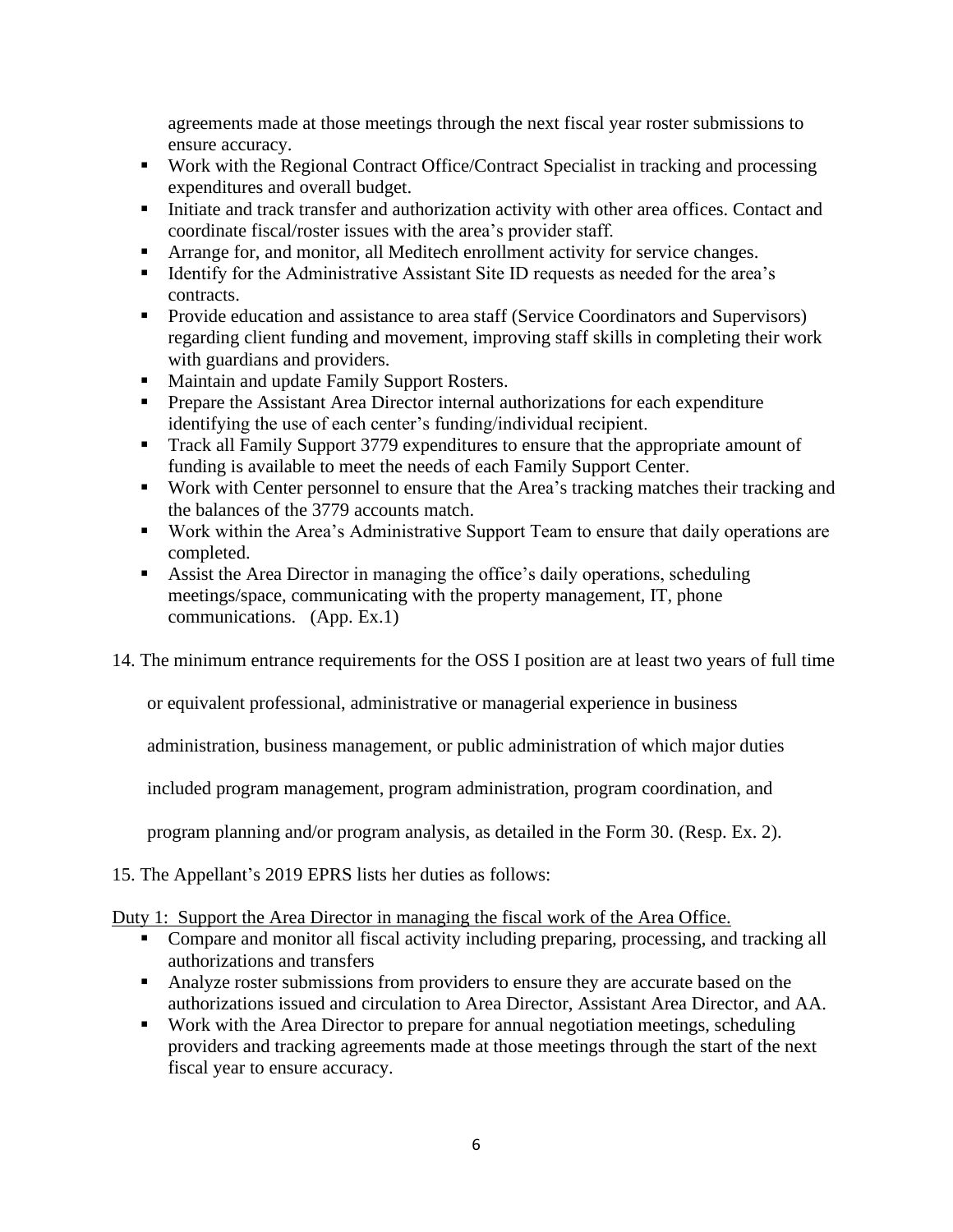agreements made at those meetings through the next fiscal year roster submissions to ensure accuracy.

- Work with the Regional Contract Office/Contract Specialist in tracking and processing expenditures and overall budget.
- **•** Initiate and track transfer and authorization activity with other area offices. Contact and coordinate fiscal/roster issues with the area's provider staff.
- Arrange for, and monitor, all Meditech enrollment activity for service changes.
- Identify for the Administrative Assistant Site ID requests as needed for the area's contracts.
- **•** Provide education and assistance to area staff (Service Coordinators and Supervisors) regarding client funding and movement, improving staff skills in completing their work with guardians and providers.
- Maintain and update Family Support Rosters.
- Prepare the Assistant Area Director internal authorizations for each expenditure identifying the use of each center's funding/individual recipient.
- Track all Family Support 3779 expenditures to ensure that the appropriate amount of funding is available to meet the needs of each Family Support Center.
- Work with Center personnel to ensure that the Area's tracking matches their tracking and the balances of the 3779 accounts match.
- Work within the Area's Administrative Support Team to ensure that daily operations are completed.
- Assist the Area Director in managing the office's daily operations, scheduling meetings/space, communicating with the property management, IT, phone communications. (App. Ex.1)
- 14. The minimum entrance requirements for the OSS I position are at least two years of full time

or equivalent professional, administrative or managerial experience in business

administration, business management, or public administration of which major duties

included program management, program administration, program coordination, and

program planning and/or program analysis, as detailed in the Form 30. (Resp. Ex. 2).

15. The Appellant's 2019 EPRS lists her duties as follows:

# Duty 1: Support the Area Director in managing the fiscal work of the Area Office.

- Compare and monitor all fiscal activity including preparing, processing, and tracking all authorizations and transfers
- Analyze roster submissions from providers to ensure they are accurate based on the authorizations issued and circulation to Area Director, Assistant Area Director, and AA.
- Work with the Area Director to prepare for annual negotiation meetings, scheduling providers and tracking agreements made at those meetings through the start of the next fiscal year to ensure accuracy.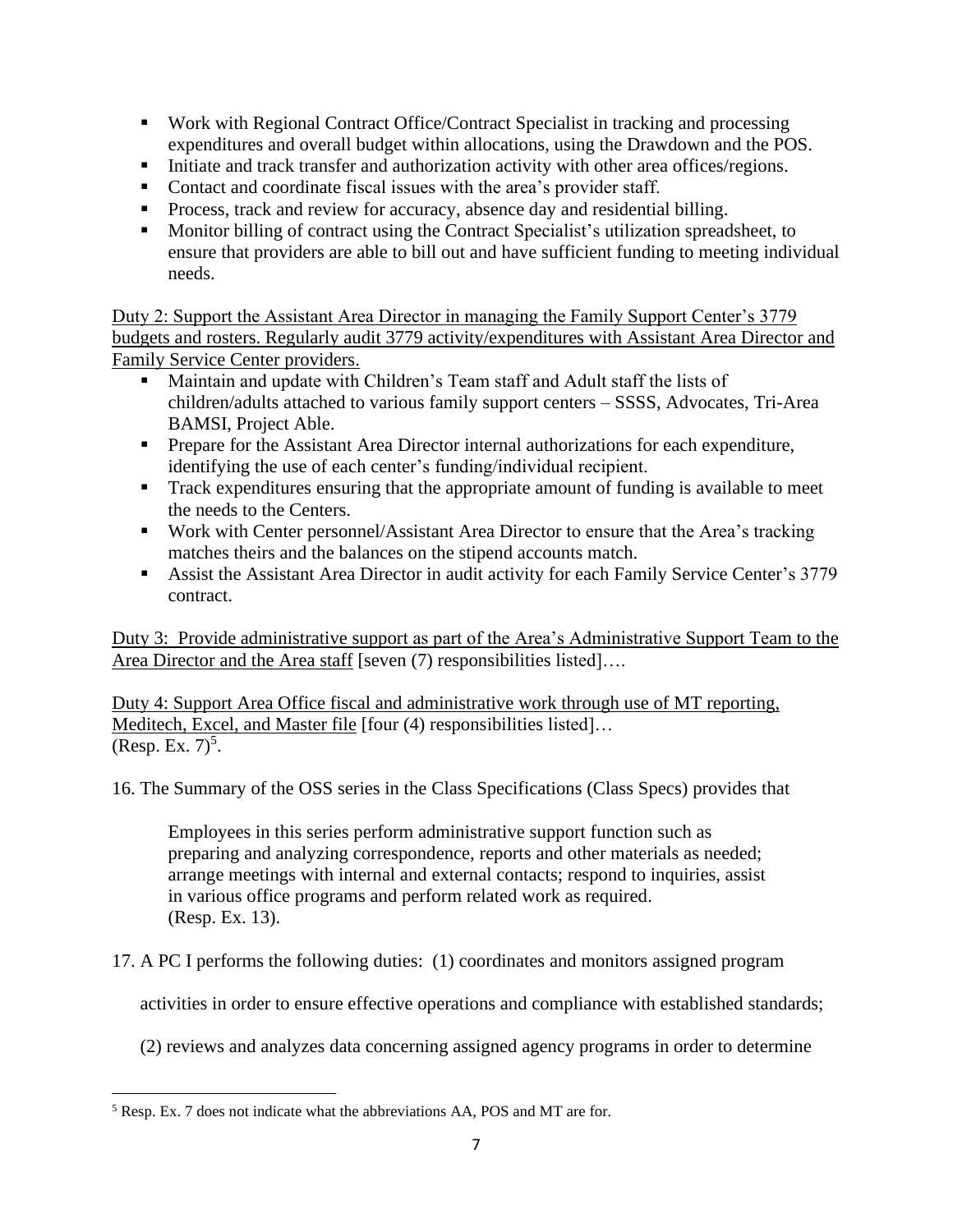- Work with Regional Contract Office/Contract Specialist in tracking and processing expenditures and overall budget within allocations, using the Drawdown and the POS.
- **•** Initiate and track transfer and authorization activity with other area offices/regions.
- Contact and coordinate fiscal issues with the area's provider staff.
- **•** Process, track and review for accuracy, absence day and residential billing.
- Monitor billing of contract using the Contract Specialist's utilization spreadsheet, to ensure that providers are able to bill out and have sufficient funding to meeting individual needs.

Duty 2: Support the Assistant Area Director in managing the Family Support Center's 3779 budgets and rosters. Regularly audit 3779 activity/expenditures with Assistant Area Director and Family Service Center providers.

- Maintain and update with Children's Team staff and Adult staff the lists of children/adults attached to various family support centers – SSSS, Advocates, Tri-Area BAMSI, Project Able.
- **•** Prepare for the Assistant Area Director internal authorizations for each expenditure, identifying the use of each center's funding/individual recipient.
- Track expenditures ensuring that the appropriate amount of funding is available to meet the needs to the Centers.
- Work with Center personnel/Assistant Area Director to ensure that the Area's tracking matches theirs and the balances on the stipend accounts match.
- Assist the Assistant Area Director in audit activity for each Family Service Center's 3779 contract.

Duty 3: Provide administrative support as part of the Area's Administrative Support Team to the Area Director and the Area staff [seven (7) responsibilities listed]....

Duty 4: Support Area Office fiscal and administrative work through use of MT reporting, Meditech, Excel, and Master file [four (4) responsibilities listed]…  $(Resp. Ex. 7)^5$ .

16. The Summary of the OSS series in the Class Specifications (Class Specs) provides that

Employees in this series perform administrative support function such as preparing and analyzing correspondence, reports and other materials as needed; arrange meetings with internal and external contacts; respond to inquiries, assist in various office programs and perform related work as required. (Resp. Ex. 13).

17. A PC I performs the following duties: (1) coordinates and monitors assigned program

activities in order to ensure effective operations and compliance with established standards;

(2) reviews and analyzes data concerning assigned agency programs in order to determine

<sup>5</sup> Resp. Ex. 7 does not indicate what the abbreviations AA, POS and MT are for.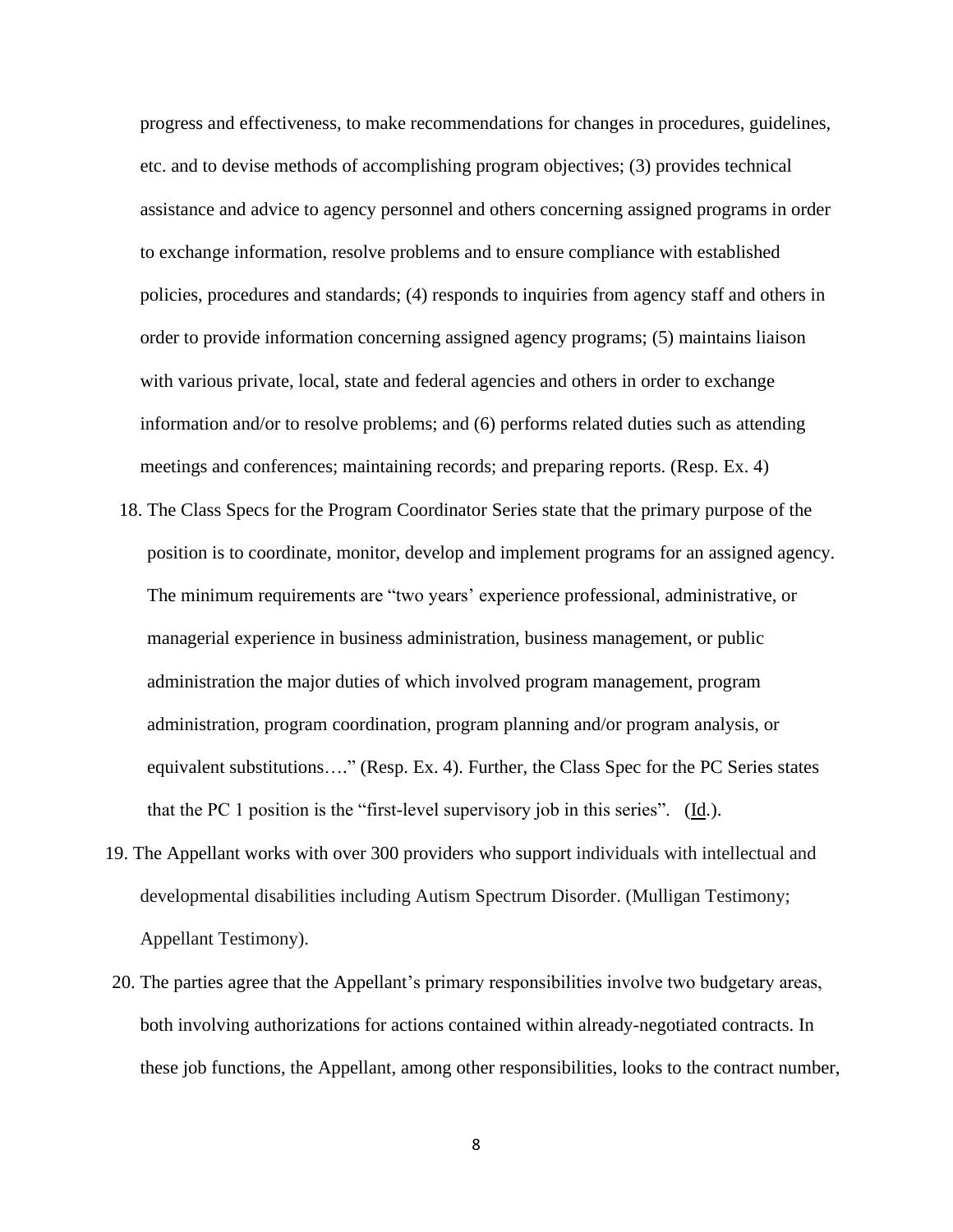progress and effectiveness, to make recommendations for changes in procedures, guidelines, etc. and to devise methods of accomplishing program objectives; (3) provides technical assistance and advice to agency personnel and others concerning assigned programs in order to exchange information, resolve problems and to ensure compliance with established policies, procedures and standards; (4) responds to inquiries from agency staff and others in order to provide information concerning assigned agency programs; (5) maintains liaison with various private, local, state and federal agencies and others in order to exchange information and/or to resolve problems; and (6) performs related duties such as attending meetings and conferences; maintaining records; and preparing reports. (Resp. Ex. 4)

- 18. The Class Specs for the Program Coordinator Series state that the primary purpose of the position is to coordinate, monitor, develop and implement programs for an assigned agency. The minimum requirements are "two years' experience professional, administrative, or managerial experience in business administration, business management, or public administration the major duties of which involved program management, program administration, program coordination, program planning and/or program analysis, or equivalent substitutions…." (Resp. Ex. 4). Further, the Class Spec for the PC Series states that the PC 1 position is the "first-level supervisory job in this series".  $(\underline{Id})$ .
- 19. The Appellant works with over 300 providers who support individuals with intellectual and developmental disabilities including Autism Spectrum Disorder. (Mulligan Testimony; Appellant Testimony).
- 20. The parties agree that the Appellant's primary responsibilities involve two budgetary areas, both involving authorizations for actions contained within already-negotiated contracts. In these job functions, the Appellant, among other responsibilities, looks to the contract number,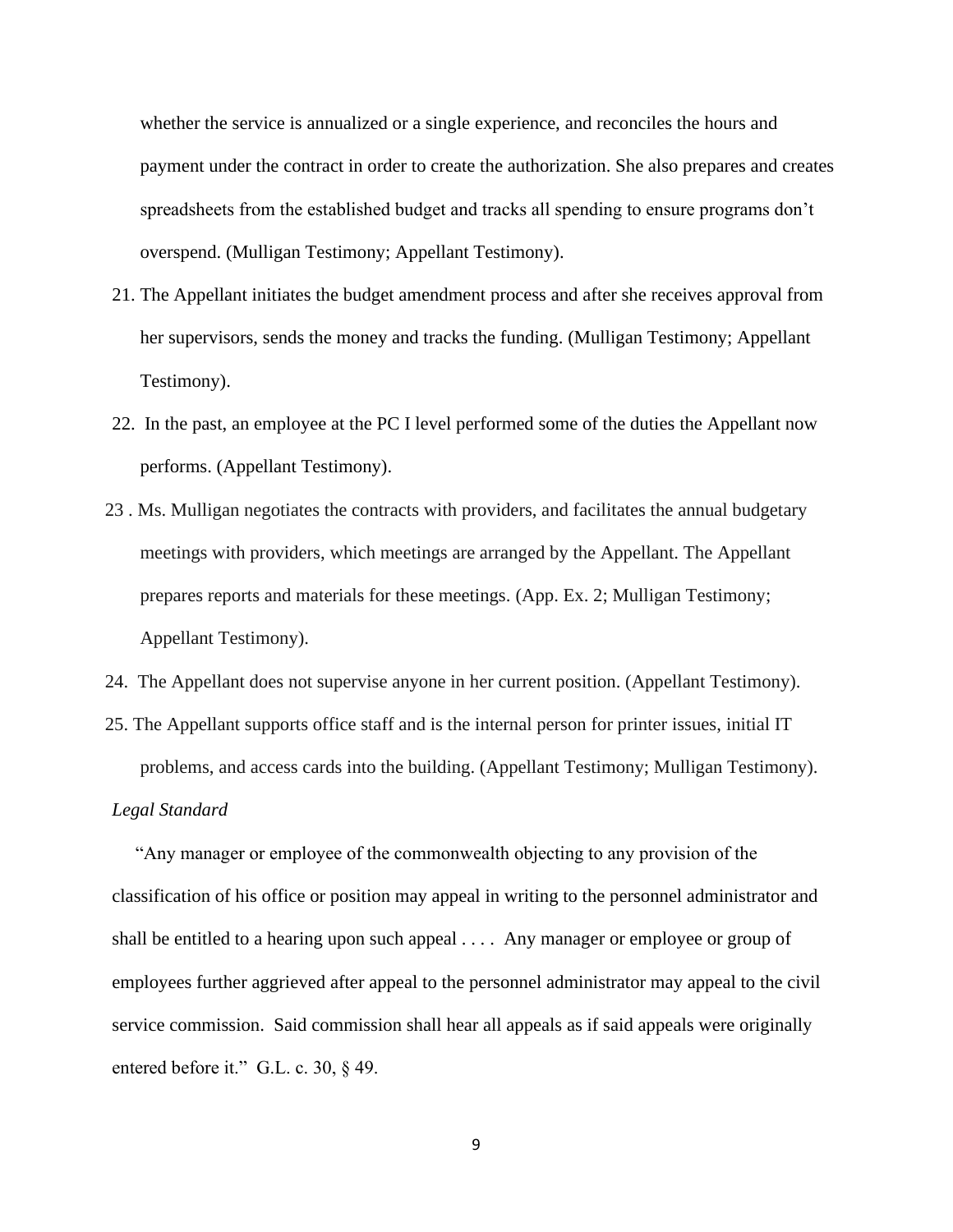whether the service is annualized or a single experience, and reconciles the hours and payment under the contract in order to create the authorization. She also prepares and creates spreadsheets from the established budget and tracks all spending to ensure programs don't overspend. (Mulligan Testimony; Appellant Testimony).

- 21. The Appellant initiates the budget amendment process and after she receives approval from her supervisors, sends the money and tracks the funding. (Mulligan Testimony; Appellant Testimony).
- 22. In the past, an employee at the PC I level performed some of the duties the Appellant now performs. (Appellant Testimony).
- 23 . Ms. Mulligan negotiates the contracts with providers, and facilitates the annual budgetary meetings with providers, which meetings are arranged by the Appellant. The Appellant prepares reports and materials for these meetings. (App. Ex. 2; Mulligan Testimony; Appellant Testimony).
- 24. The Appellant does not supervise anyone in her current position. (Appellant Testimony).
- 25. The Appellant supports office staff and is the internal person for printer issues, initial IT problems, and access cards into the building. (Appellant Testimony; Mulligan Testimony).

## *Legal Standard*

 "Any manager or employee of the commonwealth objecting to any provision of the classification of his office or position may appeal in writing to the personnel administrator and shall be entitled to a hearing upon such appeal . . . . Any manager or employee or group of employees further aggrieved after appeal to the personnel administrator may appeal to the civil service commission. Said commission shall hear all appeals as if said appeals were originally entered before it." G.L. c. 30, § 49.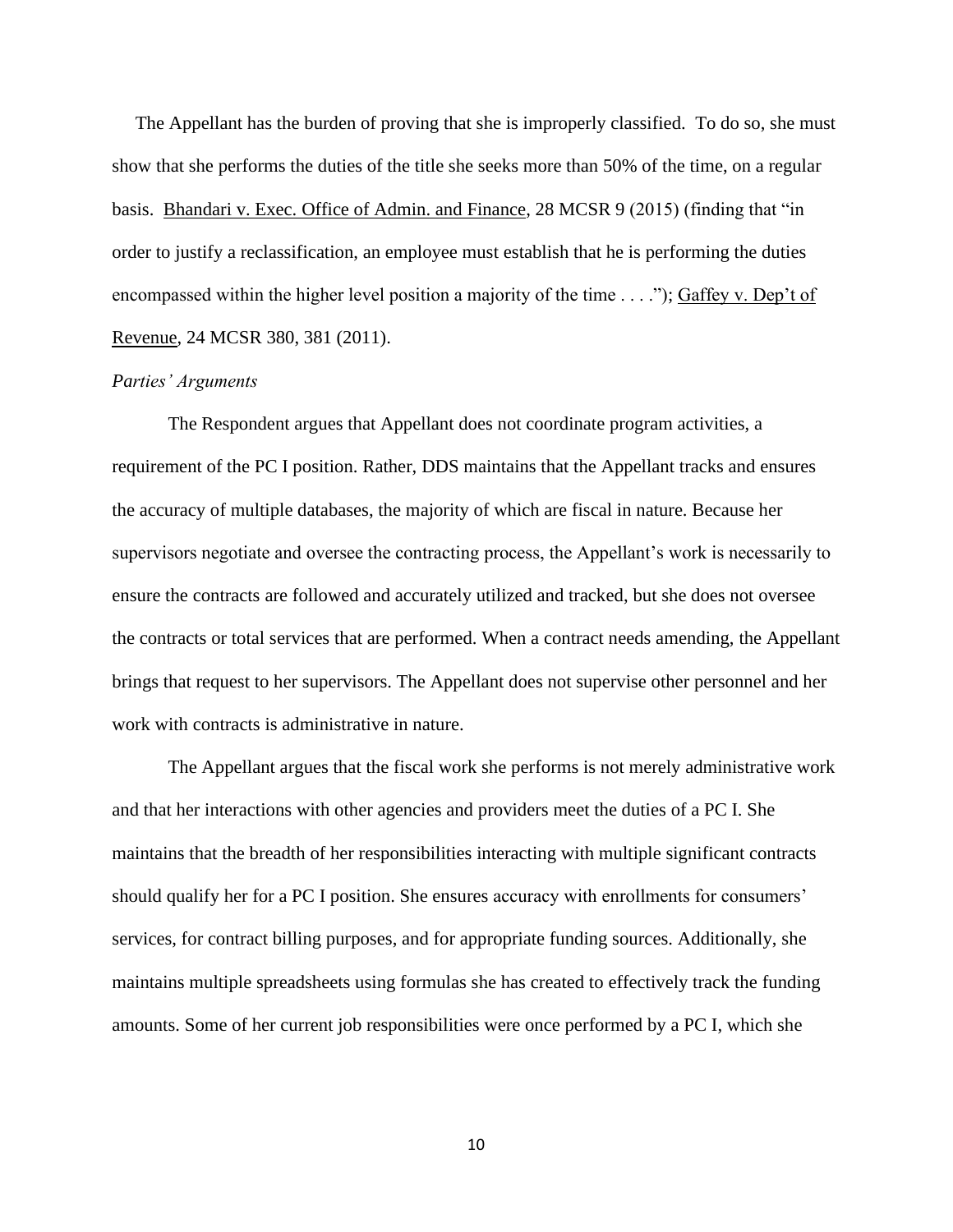The Appellant has the burden of proving that she is improperly classified. To do so, she must show that she performs the duties of the title she seeks more than 50% of the time, on a regular basis. Bhandari v. Exec. Office of Admin. and Finance, 28 MCSR 9 (2015) (finding that "in order to justify a reclassification, an employee must establish that he is performing the duties encompassed within the higher level position a majority of the time . . . ."); Gaffey v. Dep't of Revenue, 24 MCSR 380, 381 (2011).

#### *Parties' Arguments*

The Respondent argues that Appellant does not coordinate program activities, a requirement of the PC I position. Rather, DDS maintains that the Appellant tracks and ensures the accuracy of multiple databases, the majority of which are fiscal in nature. Because her supervisors negotiate and oversee the contracting process, the Appellant's work is necessarily to ensure the contracts are followed and accurately utilized and tracked, but she does not oversee the contracts or total services that are performed. When a contract needs amending, the Appellant brings that request to her supervisors. The Appellant does not supervise other personnel and her work with contracts is administrative in nature.

The Appellant argues that the fiscal work she performs is not merely administrative work and that her interactions with other agencies and providers meet the duties of a PC I. She maintains that the breadth of her responsibilities interacting with multiple significant contracts should qualify her for a PC I position. She ensures accuracy with enrollments for consumers' services, for contract billing purposes, and for appropriate funding sources. Additionally, she maintains multiple spreadsheets using formulas she has created to effectively track the funding amounts. Some of her current job responsibilities were once performed by a PC I, which she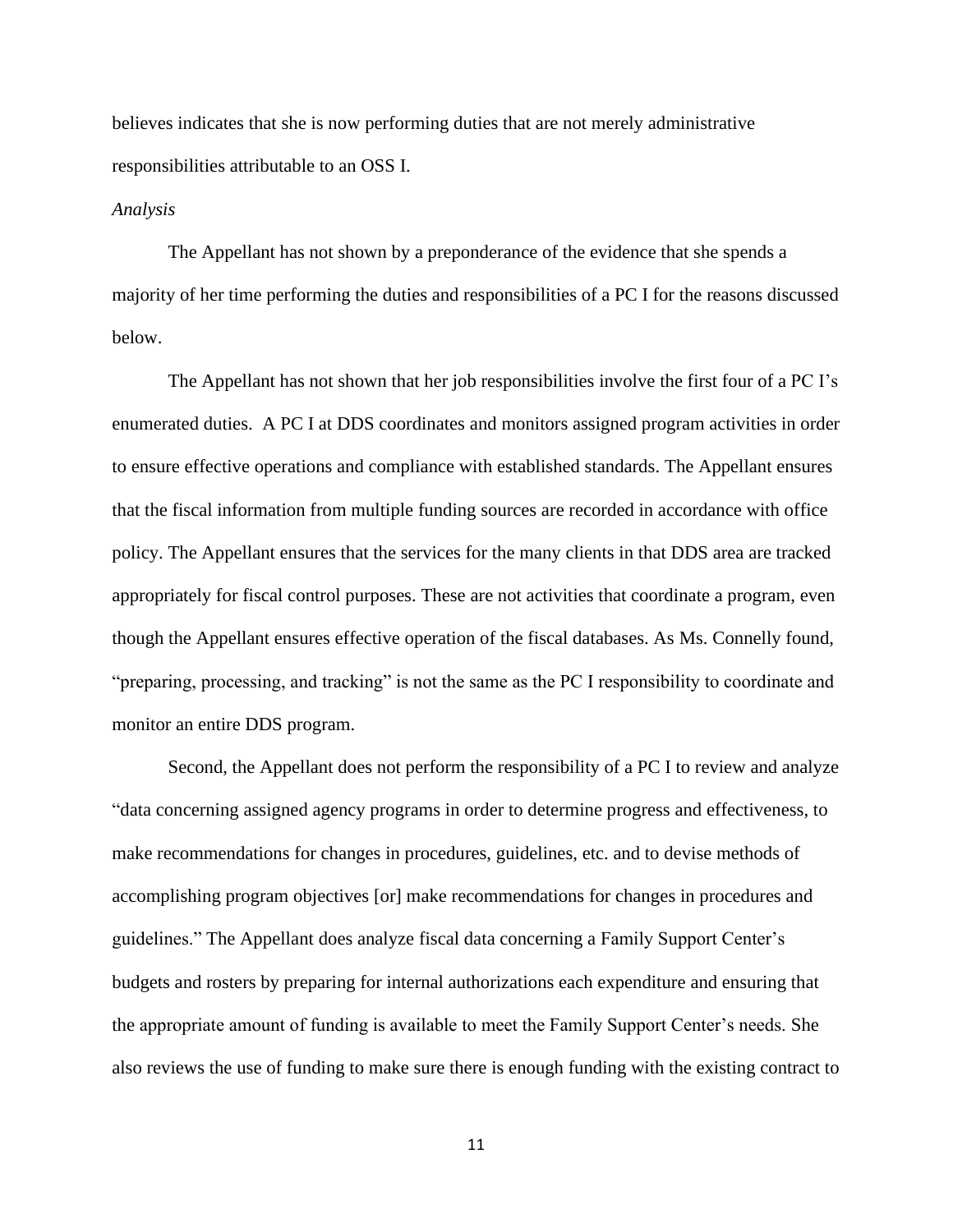believes indicates that she is now performing duties that are not merely administrative responsibilities attributable to an OSS I.

#### *Analysis*

The Appellant has not shown by a preponderance of the evidence that she spends a majority of her time performing the duties and responsibilities of a PC I for the reasons discussed below.

The Appellant has not shown that her job responsibilities involve the first four of a PC I's enumerated duties. A PC I at DDS coordinates and monitors assigned program activities in order to ensure effective operations and compliance with established standards. The Appellant ensures that the fiscal information from multiple funding sources are recorded in accordance with office policy. The Appellant ensures that the services for the many clients in that DDS area are tracked appropriately for fiscal control purposes. These are not activities that coordinate a program, even though the Appellant ensures effective operation of the fiscal databases. As Ms. Connelly found, "preparing, processing, and tracking" is not the same as the PC I responsibility to coordinate and monitor an entire DDS program.

Second, the Appellant does not perform the responsibility of a PC I to review and analyze "data concerning assigned agency programs in order to determine progress and effectiveness, to make recommendations for changes in procedures, guidelines, etc. and to devise methods of accomplishing program objectives [or] make recommendations for changes in procedures and guidelines." The Appellant does analyze fiscal data concerning a Family Support Center's budgets and rosters by preparing for internal authorizations each expenditure and ensuring that the appropriate amount of funding is available to meet the Family Support Center's needs. She also reviews the use of funding to make sure there is enough funding with the existing contract to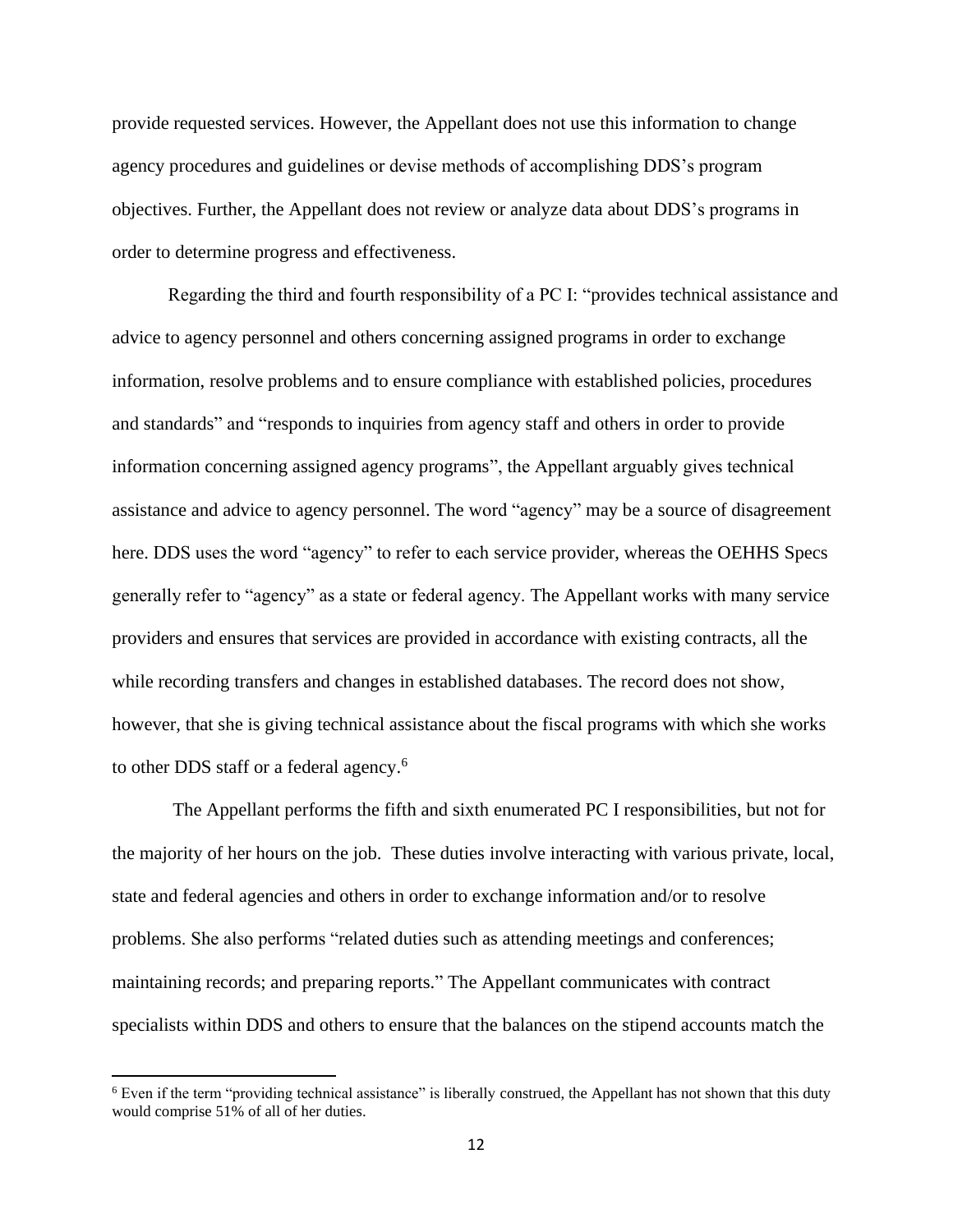provide requested services. However, the Appellant does not use this information to change agency procedures and guidelines or devise methods of accomplishing DDS's program objectives. Further, the Appellant does not review or analyze data about DDS's programs in order to determine progress and effectiveness.

Regarding the third and fourth responsibility of a PC I: "provides technical assistance and advice to agency personnel and others concerning assigned programs in order to exchange information, resolve problems and to ensure compliance with established policies, procedures and standards" and "responds to inquiries from agency staff and others in order to provide information concerning assigned agency programs", the Appellant arguably gives technical assistance and advice to agency personnel. The word "agency" may be a source of disagreement here. DDS uses the word "agency" to refer to each service provider, whereas the OEHHS Specs generally refer to "agency" as a state or federal agency. The Appellant works with many service providers and ensures that services are provided in accordance with existing contracts, all the while recording transfers and changes in established databases. The record does not show, however, that she is giving technical assistance about the fiscal programs with which she works to other DDS staff or a federal agency. 6

The Appellant performs the fifth and sixth enumerated PC I responsibilities, but not for the majority of her hours on the job. These duties involve interacting with various private, local, state and federal agencies and others in order to exchange information and/or to resolve problems. She also performs "related duties such as attending meetings and conferences; maintaining records; and preparing reports." The Appellant communicates with contract specialists within DDS and others to ensure that the balances on the stipend accounts match the

<sup>&</sup>lt;sup>6</sup> Even if the term "providing technical assistance" is liberally construed, the Appellant has not shown that this duty would comprise 51% of all of her duties.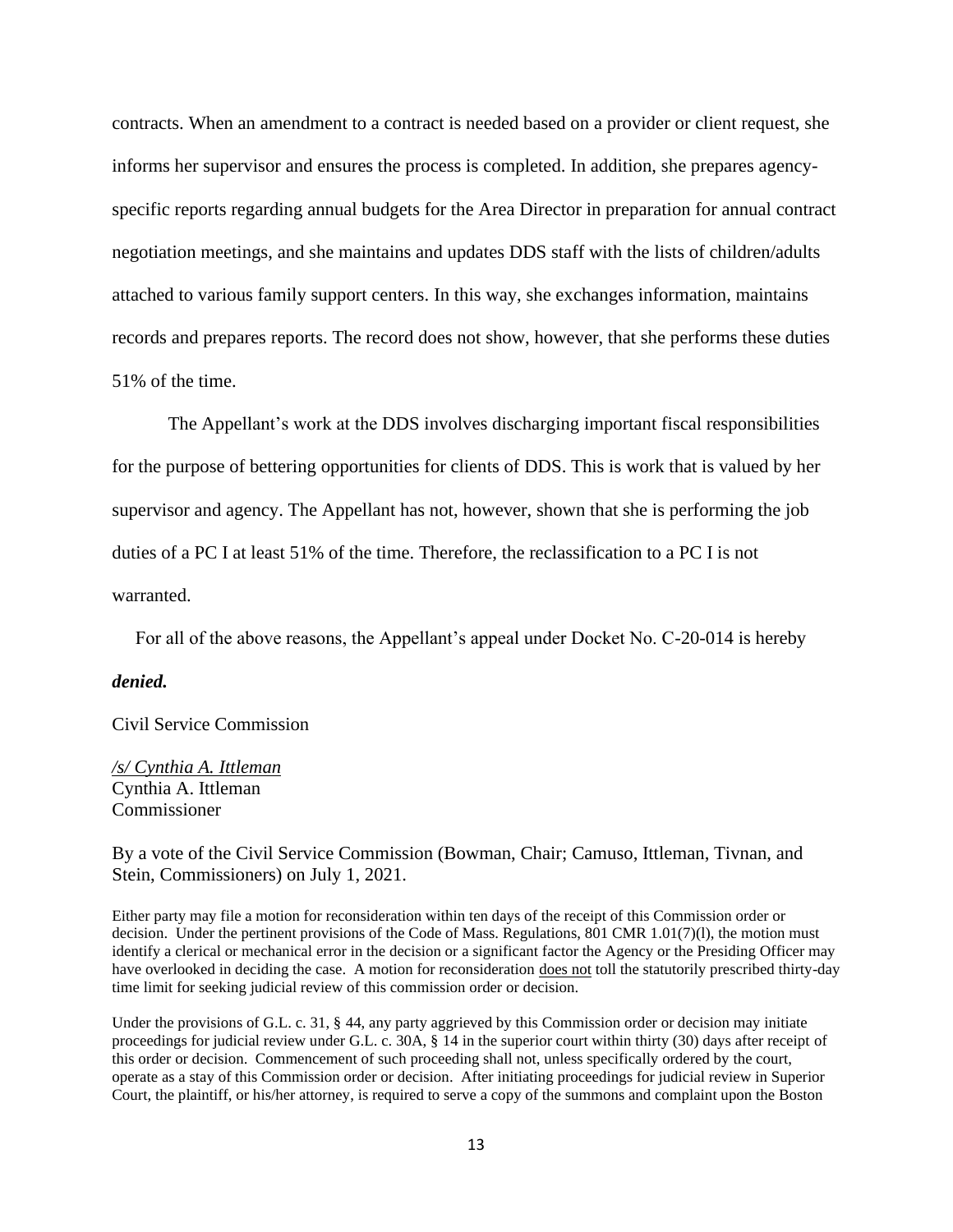contracts. When an amendment to a contract is needed based on a provider or client request, she informs her supervisor and ensures the process is completed. In addition, she prepares agencyspecific reports regarding annual budgets for the Area Director in preparation for annual contract negotiation meetings, and she maintains and updates DDS staff with the lists of children/adults attached to various family support centers. In this way, she exchanges information, maintains records and prepares reports. The record does not show, however, that she performs these duties 51% of the time.

The Appellant's work at the DDS involves discharging important fiscal responsibilities for the purpose of bettering opportunities for clients of DDS. This is work that is valued by her supervisor and agency. The Appellant has not, however, shown that she is performing the job duties of a PC I at least 51% of the time. Therefore, the reclassification to a PC I is not warranted.

For all of the above reasons, the Appellant's appeal under Docket No. C-20-014 is hereby

#### *denied.*

Civil Service Commission

*/s/ Cynthia A. Ittleman*  Cynthia A. Ittleman Commissioner

By a vote of the Civil Service Commission (Bowman, Chair; Camuso, Ittleman, Tivnan, and Stein, Commissioners) on July 1, 2021.

Either party may file a motion for reconsideration within ten days of the receipt of this Commission order or decision. Under the pertinent provisions of the Code of Mass. Regulations, 801 CMR 1.01(7)(l), the motion must identify a clerical or mechanical error in the decision or a significant factor the Agency or the Presiding Officer may have overlooked in deciding the case. A motion for reconsideration does not toll the statutorily prescribed thirty-day time limit for seeking judicial review of this commission order or decision.

Under the provisions of G.L. c. 31, § 44, any party aggrieved by this Commission order or decision may initiate proceedings for judicial review under G.L. c. 30A, § 14 in the superior court within thirty (30) days after receipt of this order or decision. Commencement of such proceeding shall not, unless specifically ordered by the court, operate as a stay of this Commission order or decision. After initiating proceedings for judicial review in Superior Court, the plaintiff, or his/her attorney, is required to serve a copy of the summons and complaint upon the Boston